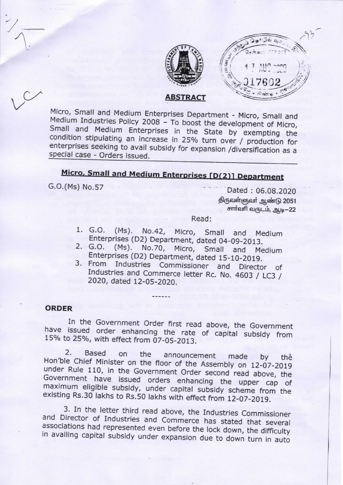



**ABSTRACT** 

Micro, Small and Medium Enterprises Department - Micro, Small and Medium Industries Policy 2008 - To boost the development of Micro, Small and Medium Enterprises in the State by exempting the condition stipulating an increase in 25% turn over / production for enterprises seeking to avail subsidy for expansion /diversification as a special case - Orders issued.

# Micro, Small and Medium Enterprises [D(2)] Department

G.O.(Ms) No.57

Dated: 06.08.2020 திருவள்ளுவா் ஆண்டு 2051 சார்வரி வருடம், ஆடி-22

Read:

- 1. G.O.  $(Ms)$ . No.42, Micro, Small and Medium Enterprises (D2) Department, dated 04-09-2013.
- 2. G.O. (Ms). No.70, Micro, Small and Medium Enterprises (D2) Department, dated 15-10-2019.
- 3. From Industries Commissioner and Director of Industries and Commerce letter Rc. No. 4603 / LC3 / 2020, dated 12-05-2020.

#### **ORDER**

In the Government Order first read above, the Government have issued order enhancing the rate of capital subsidy from 15% to 25%, with effect from 07-05-2013.

 $\overline{2}$ . Based on the announcement made by thả Hon'ble Chief Minister on the floor of the Assembly on 12-07-2019 under Rule 110, in the Government Order second read above, the Government have issued orders enhancing the upper cap of maximum eligible subsidy, under capital subsidy scheme from the existing Rs.30 lakhs to Rs.50 lakhs with effect from 12-07-2019.

3. In the letter third read above, the Industries Commissioner and Director of Industries and Commerce has stated that several associations had represented even before the lock down, the difficulty in availing capital subsidy under expansion due to down turn in auto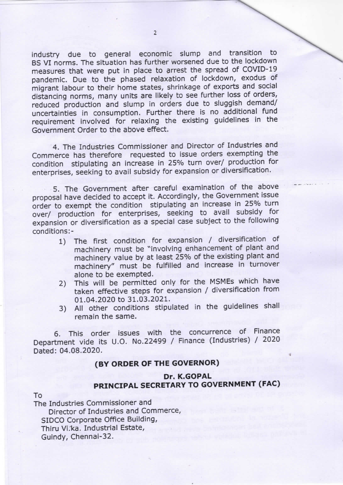industry due to general economic slump and transition to BS VI norms. The situation has further worsened due to the lockdown measures that were put in place to arrest the spread of COVID-19 pandemic. Due to the phased relaxation of lockdown, exodus of migrant labour to their home states, shrinkage of exports and social distancing norms, many units are likely to see further loss of orders, reduced production and slump in orders due to sluggish demand/ uncertainties in consumption. Further there is no additional fund requirement involved for relaxing the existing guidelines in the Government Order to the above effect.

4. The Industries Commissioner and Director of Industries and Commerce has therefore requested to issue orders exempting the condition stipulating an increase in 25°/o turn over/ production for enterprises, seeking to avail subsidy for expansion or diversification.

5. The Government after careful examination of the above proposal have decided to accept it. Accordingly, the Government issue order to exempt the condition stipulating an increase in 25% turn over/ production for enterprises, seeking to avail subsidy for expansion or diversification as a special case subject to the following conditions:-

- 1) The first condition for expansion / diversification of machinery must be "involving enhancement of plant and machinery value by at least 25% of the existing plant and machinery" must be fulfilled and increase in turnover alone to be exempted.
- 2) This will be permitted only for the MSMEs which have taken effective steps for expansion / diversification from 01.04.2020 to 31.03.2021.
- 3) All other conditions stipulated in the guidelines shall remain the same.

6. This order issues with the concurrence of Finance Department vide its U.O. No.22499 / Finance (Industries) / 2020 Dated: 04.08.2020.

### (BY ORDER OF THE GOVERNOR)

#### Dr. K.GOPAL PRINCIPAL SECRETARY TO GOVERNMENT (FAC)

#### TO

The Industries Commissioner and Director of Industries and Commerce, SIDCO Corporate Office Building, Thiru Vi.ka. Industrial Estate, Guindy, Chennai-32.